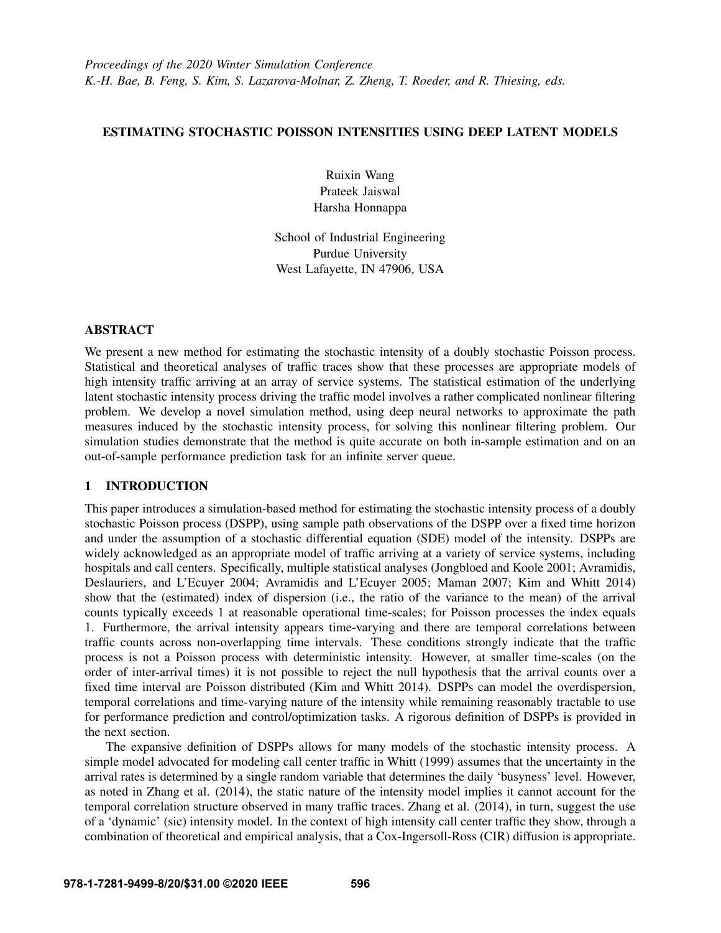# ESTIMATING STOCHASTIC POISSON INTENSITIES USING DEEP LATENT MODELS

Ruixin Wang Prateek Jaiswal Harsha Honnappa

School of Industrial Engineering Purdue University West Lafayette, IN 47906, USA

## ABSTRACT

We present a new method for estimating the stochastic intensity of a doubly stochastic Poisson process. Statistical and theoretical analyses of traffic traces show that these processes are appropriate models of high intensity traffic arriving at an array of service systems. The statistical estimation of the underlying latent stochastic intensity process driving the traffic model involves a rather complicated nonlinear filtering problem. We develop a novel simulation method, using deep neural networks to approximate the path measures induced by the stochastic intensity process, for solving this nonlinear filtering problem. Our simulation studies demonstrate that the method is quite accurate on both in-sample estimation and on an out-of-sample performance prediction task for an infinite server queue.

# 1 INTRODUCTION

This paper introduces a simulation-based method for estimating the stochastic intensity process of a doubly stochastic Poisson process (DSPP), using sample path observations of the DSPP over a fixed time horizon and under the assumption of a stochastic differential equation (SDE) model of the intensity. DSPPs are widely acknowledged as an appropriate model of traffic arriving at a variety of service systems, including hospitals and call centers. Specifically, multiple statistical analyses [\(Jongbloed and Koole 2001;](#page-11-0) [Avramidis,](#page-11-1) [Deslauriers, and L'Ecuyer 2004;](#page-11-1) [Avramidis and L'Ecuyer 2005;](#page-11-2) [Maman 2007;](#page-11-3) [Kim and Whitt 2014\)](#page-11-4) show that the (estimated) index of dispersion (i.e., the ratio of the variance to the mean) of the arrival counts typically exceeds 1 at reasonable operational time-scales; for Poisson processes the index equals 1. Furthermore, the arrival intensity appears time-varying and there are temporal correlations between traffic counts across non-overlapping time intervals. These conditions strongly indicate that the traffic process is not a Poisson process with deterministic intensity. However, at smaller time-scales (on the order of inter-arrival times) it is not possible to reject the null hypothesis that the arrival counts over a fixed time interval are Poisson distributed [\(Kim and Whitt 2014\)](#page-11-4). DSPPs can model the overdispersion, temporal correlations and time-varying nature of the intensity while remaining reasonably tractable to use for performance prediction and control/optimization tasks. A rigorous definition of DSPPs is provided in the next section.

The expansive definition of DSPPs allows for many models of the stochastic intensity process. A simple model advocated for modeling call center traffic in [Whitt \(1999\)](#page-11-5) assumes that the uncertainty in the arrival rates is determined by a single random variable that determines the daily 'busyness' level. However, as noted in [Zhang et al. \(2014\),](#page-11-6) the static nature of the intensity model implies it cannot account for the temporal correlation structure observed in many traffic traces. [Zhang et al. \(2014\),](#page-11-6) in turn, suggest the use of a 'dynamic' (sic) intensity model. In the context of high intensity call center traffic they show, through a combination of theoretical and empirical analysis, that a Cox-Ingersoll-Ross (CIR) diffusion is appropriate.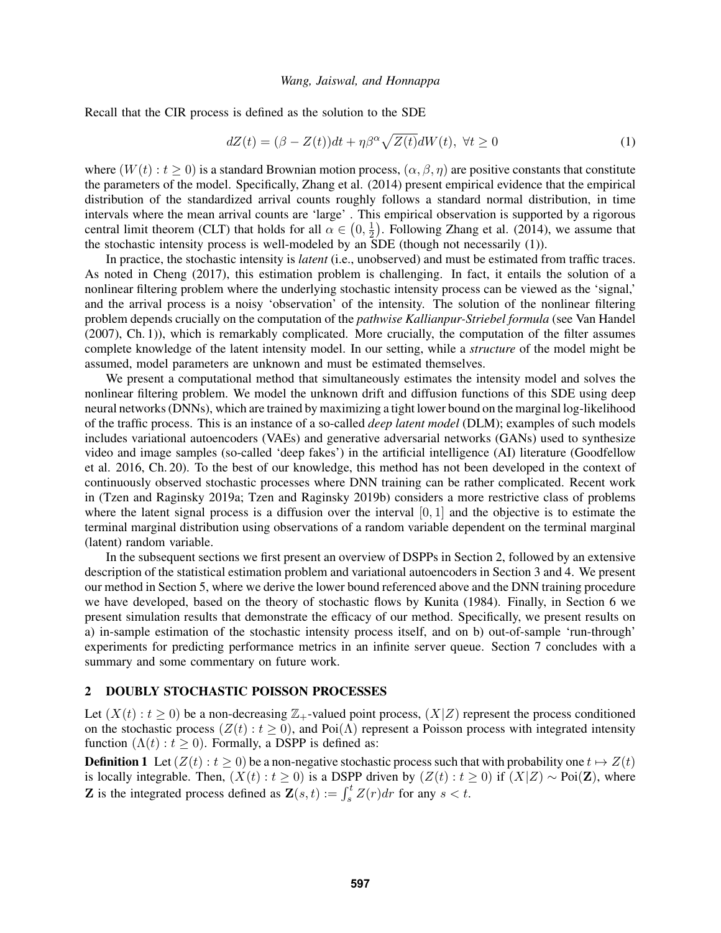Recall that the CIR process is defined as the solution to the SDE

<span id="page-1-0"></span>
$$
dZ(t) = (\beta - Z(t))dt + \eta \beta^{\alpha} \sqrt{Z(t)}dW(t), \ \forall t \ge 0
$$
\n(1)

where  $(W(t): t > 0)$  is a standard Brownian motion process,  $(\alpha, \beta, \eta)$  are positive constants that constitute the parameters of the model. Specifically, [Zhang et al. \(2014\)](#page-11-6) present empirical evidence that the empirical distribution of the standardized arrival counts roughly follows a standard normal distribution, in time intervals where the mean arrival counts are 'large' . This empirical observation is supported by a rigorous central limit theorem (CLT) that holds for all  $\alpha \in (0, \frac{1}{2})$  $\frac{1}{2}$ ). Following [Zhang et al. \(2014\),](#page-11-6) we assume that the stochastic intensity process is well-modeled by an SDE (though not necessarily [\(1\)](#page-1-0)).

In practice, the stochastic intensity is *latent* (i.e., unobserved) and must be estimated from traffic traces. As noted in [Cheng \(2017\),](#page-11-7) this estimation problem is challenging. In fact, it entails the solution of a nonlinear filtering problem where the underlying stochastic intensity process can be viewed as the 'signal,' and the arrival process is a noisy 'observation' of the intensity. The solution of the nonlinear filtering problem depends crucially on the computation of the *pathwise Kallianpur-Striebel formula* (see [Van Handel](#page-11-8) [\(2007\),](#page-11-8) Ch. 1)), which is remarkably complicated. More crucially, the computation of the filter assumes complete knowledge of the latent intensity model. In our setting, while a *structure* of the model might be assumed, model parameters are unknown and must be estimated themselves.

We present a computational method that simultaneously estimates the intensity model and solves the nonlinear filtering problem. We model the unknown drift and diffusion functions of this SDE using deep neural networks (DNNs), which are trained by maximizing a tight lower bound on the marginal log-likelihood of the traffic process. This is an instance of a so-called *deep latent model* (DLM); examples of such models includes variational autoencoders (VAEs) and generative adversarial networks (GANs) used to synthesize video and image samples (so-called 'deep fakes') in the artificial intelligence (AI) literature [\(Goodfellow](#page-11-9) [et al. 2016,](#page-11-9) Ch. 20). To the best of our knowledge, this method has not been developed in the context of continuously observed stochastic processes where DNN training can be rather complicated. Recent work in [\(Tzen and Raginsky 2019a;](#page-11-10) [Tzen and Raginsky 2019b\)](#page-11-11) considers a more restrictive class of problems where the latent signal process is a diffusion over the interval  $[0, 1]$  and the objective is to estimate the terminal marginal distribution using observations of a random variable dependent on the terminal marginal (latent) random variable.

In the subsequent sections we first present an overview of DSPPs in Section 2, followed by an extensive description of the statistical estimation problem and variational autoencoders in Section 3 and 4. We present our method in Section 5, where we derive the lower bound referenced above and the DNN training procedure we have developed, based on the theory of stochastic flows by [Kunita \(1984\).](#page-11-12) Finally, in Section 6 we present simulation results that demonstrate the efficacy of our method. Specifically, we present results on a) in-sample estimation of the stochastic intensity process itself, and on b) out-of-sample 'run-through' experiments for predicting performance metrics in an infinite server queue. Section 7 concludes with a summary and some commentary on future work.

## 2 DOUBLY STOCHASTIC POISSON PROCESSES

Let  $(X(t): t \ge 0)$  be a non-decreasing  $\mathbb{Z}_+$ -valued point process,  $(X|Z)$  represent the process conditioned on the stochastic process  $(Z(t): t \ge 0)$ , and Poi( $\Lambda$ ) represent a Poisson process with integrated intensity function  $(\Lambda(t): t \geq 0)$ . Formally, a DSPP is defined as:

**Definition 1** Let  $(Z(t) : t \ge 0)$  be a non-negative stochastic process such that with probability one  $t \mapsto Z(t)$ is locally integrable. Then,  $(X(t): t \ge 0)$  is a DSPP driven by  $(Z(t): t \ge 0)$  if  $(X|Z) \sim \text{Poi}(\mathbf{Z})$ , where **Z** is the integrated process defined as  $\mathbf{Z}(s,t) := \int_s^t Z(r) dr$  for any  $s < t$ .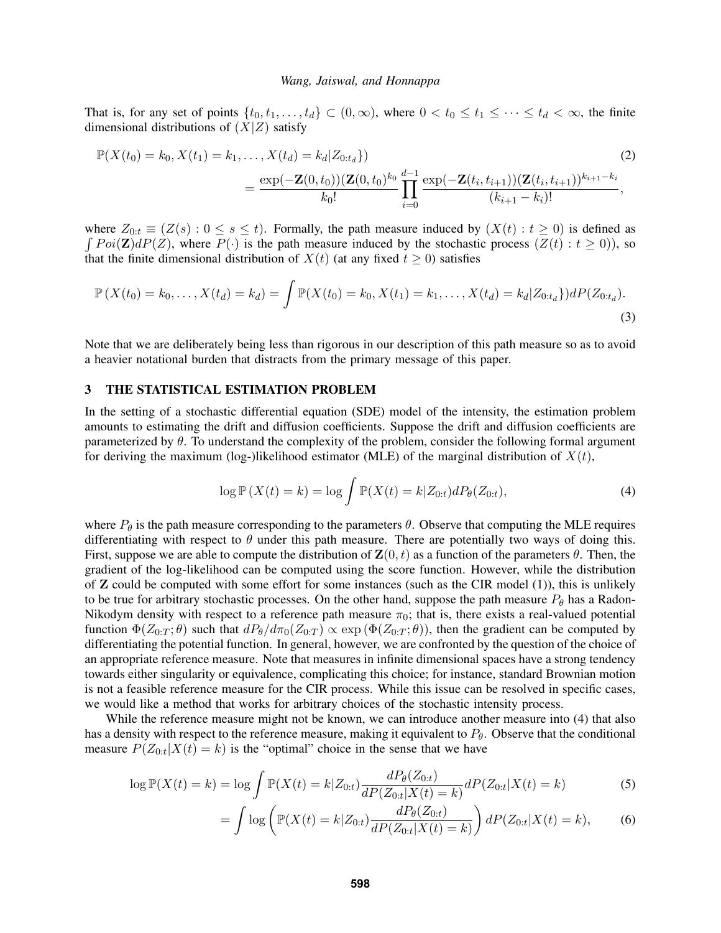That is, for any set of points  $\{t_0, t_1, \ldots, t_d\} \subset (0, \infty)$ , where  $0 < t_0 \le t_1 \le \cdots \le t_d < \infty$ , the finite dimensional distributions of  $(X|Z)$  satisfy

$$
\mathbb{P}(X(t_0) = k_0, X(t_1) = k_1, ..., X(t_d) = k_d | Z_{0:t_d}\})
$$
\n
$$
= \frac{\exp(-\mathbf{Z}(0, t_0))(\mathbf{Z}(0, t_0)^{k_0} \prod_{i=0}^{d-1} \exp(-\mathbf{Z}(t_i, t_{i+1}))(\mathbf{Z}(t_i, t_{i+1}))^{k_{i+1} - k_i}}{(k_{i+1} - k_i)!},
$$
\n(2)

where  $Z_{0:t} \equiv (Z(s): 0 \le s \le t)$ . Formally, the path measure induced by  $(X(t): t \ge 0)$  is defined as  $\int Poi(\mathbf{Z})dP(Z)$ , where  $P(\cdot)$  is the path measure induced by the stochastic process  $(Z(t): t \ge 0)$ ), so that the finite dimensional distribution of  $X(t)$  (at any fixed  $t \ge 0$ ) satisfies

$$
\mathbb{P}\left(X(t_0)=k_0,\ldots,X(t_d)=k_d\right)=\int \mathbb{P}(X(t_0)=k_0,X(t_1)=k_1,\ldots,X(t_d)=k_d|Z_{0:t_d}\})dP(Z_{0:t_d}).
$$
\n(3)

Note that we are deliberately being less than rigorous in our description of this path measure so as to avoid a heavier notational burden that distracts from the primary message of this paper.

## 3 THE STATISTICAL ESTIMATION PROBLEM

In the setting of a stochastic differential equation (SDE) model of the intensity, the estimation problem amounts to estimating the drift and diffusion coefficients. Suppose the drift and diffusion coefficients are parameterized by  $\theta$ . To understand the complexity of the problem, consider the following formal argument for deriving the maximum (log-)likelihood estimator (MLE) of the marginal distribution of  $X(t)$ ,

<span id="page-2-0"></span>
$$
\log \mathbb{P}\left(X(t) = k\right) = \log \int \mathbb{P}(X(t) = k|Z_{0:t})dP_{\theta}(Z_{0:t}),\tag{4}
$$

where  $P_{\theta}$  is the path measure corresponding to the parameters  $\theta$ . Observe that computing the MLE requires differentiating with respect to  $\theta$  under this path measure. There are potentially two ways of doing this. First, suppose we are able to compute the distribution of  $\mathbf{Z}(0,t)$  as a function of the parameters  $\theta$ . Then, the gradient of the log-likelihood can be computed using the score function. However, while the distribution of Z could be computed with some effort for some instances (such as the CIR model [\(1\)](#page-1-0)), this is unlikely to be true for arbitrary stochastic processes. On the other hand, suppose the path measure  $P_{\theta}$  has a Radon-Nikodym density with respect to a reference path measure  $\pi_0$ ; that is, there exists a real-valued potential function  $\Phi(Z_{0:T};\theta)$  such that  $dP_{\theta}/d\pi_0(Z_{0:T}) \propto \exp(\Phi(Z_{0:T};\theta))$ , then the gradient can be computed by differentiating the potential function. In general, however, we are confronted by the question of the choice of an appropriate reference measure. Note that measures in infinite dimensional spaces have a strong tendency towards either singularity or equivalence, complicating this choice; for instance, standard Brownian motion is not a feasible reference measure for the CIR process. While this issue can be resolved in specific cases, we would like a method that works for arbitrary choices of the stochastic intensity process.

While the reference measure might not be known, we can introduce another measure into [\(4\)](#page-2-0) that also has a density with respect to the reference measure, making it equivalent to  $P_{\theta}$ . Observe that the conditional measure  $P(Z_{0:t}|X(t) = k)$  is the "optimal" choice in the sense that we have

$$
\log \mathbb{P}(X(t) = k) = \log \int \mathbb{P}(X(t) = k | Z_{0:t}) \frac{dP_{\theta}(Z_{0:t})}{dP(Z_{0:t} | X(t) = k)} dP(Z_{0:t} | X(t) = k)
$$
(5)

<span id="page-2-1"></span>
$$
= \int \log \left( \mathbb{P}(X(t) = k | Z_{0:t}) \frac{dP_{\theta}(Z_{0:t})}{dP(Z_{0:t} | X(t) = k)} \right) dP(Z_{0:t} | X(t) = k), \tag{6}
$$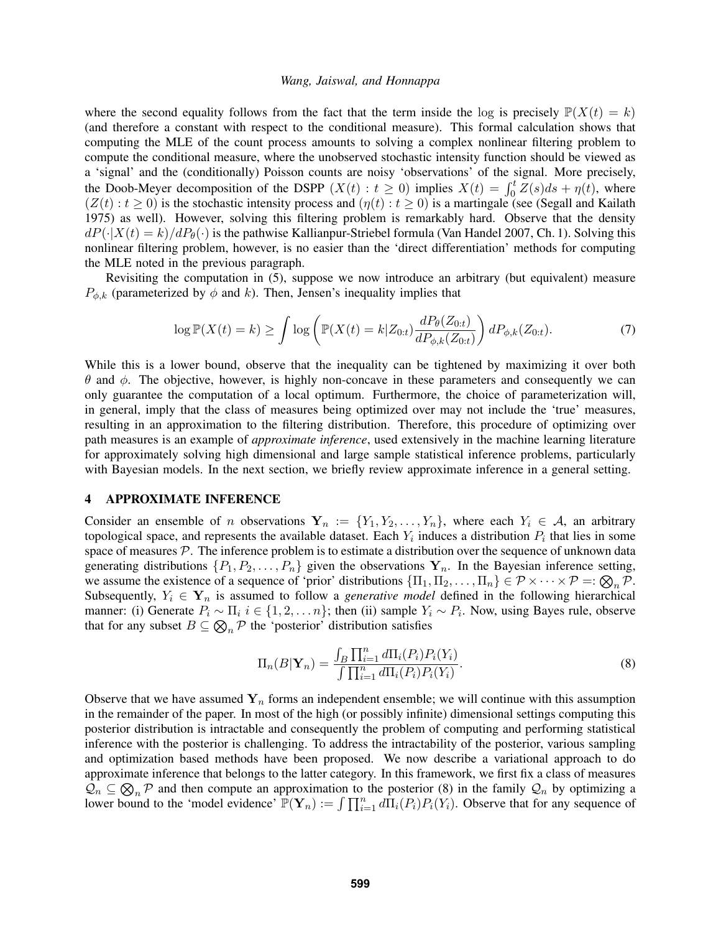where the second equality follows from the fact that the term inside the log is precisely  $\mathbb{P}(X(t) = k)$ (and therefore a constant with respect to the conditional measure). This formal calculation shows that computing the MLE of the count process amounts to solving a complex nonlinear filtering problem to compute the conditional measure, where the unobserved stochastic intensity function should be viewed as a 'signal' and the (conditionally) Poisson counts are noisy 'observations' of the signal. More precisely, the Doob-Meyer decomposition of the DSPP  $(X(t): t \ge 0)$  implies  $X(t) = \int_0^t \overline{Z}(s)ds + \eta(t)$ , where  $(Z(t): t \ge 0)$  is the stochastic intensity process and  $(\eta(t): t \ge 0)$  is a martingale (see [\(Segall and Kailath](#page-11-13) [1975\)](#page-11-13) as well). However, solving this filtering problem is remarkably hard. Observe that the density  $dP(\cdot|X(t) = k)/dP_{\theta}(\cdot)$  is the pathwise Kallianpur-Striebel formula [\(Van Handel 2007,](#page-11-8) Ch. 1). Solving this nonlinear filtering problem, however, is no easier than the 'direct differentiation' methods for computing the MLE noted in the previous paragraph.

Revisiting the computation in [\(5\)](#page-2-1), suppose we now introduce an arbitrary (but equivalent) measure  $P_{\phi,k}$  (parameterized by  $\phi$  and k). Then, Jensen's inequality implies that

<span id="page-3-1"></span>
$$
\log \mathbb{P}(X(t) = k) \ge \int \log \left( \mathbb{P}(X(t) = k | Z_{0:t}) \frac{dP_{\theta}(Z_{0:t})}{dP_{\phi,k}(Z_{0:t})} \right) dP_{\phi,k}(Z_{0:t}). \tag{7}
$$

While this is a lower bound, observe that the inequality can be tightened by maximizing it over both θ and φ. The objective, however, is highly non-concave in these parameters and consequently we can only guarantee the computation of a local optimum. Furthermore, the choice of parameterization will, in general, imply that the class of measures being optimized over may not include the 'true' measures, resulting in an approximation to the filtering distribution. Therefore, this procedure of optimizing over path measures is an example of *approximate inference*, used extensively in the machine learning literature for approximately solving high dimensional and large sample statistical inference problems, particularly with Bayesian models. In the next section, we briefly review approximate inference in a general setting.

### <span id="page-3-2"></span>4 APPROXIMATE INFERENCE

Consider an ensemble of n observations  $Y_n := \{Y_1, Y_2, \ldots, Y_n\}$ , where each  $Y_i \in \mathcal{A}$ , an arbitrary topological space, and represents the available dataset. Each  $Y_i$  induces a distribution  $P_i$  that lies in some space of measures  $P$ . The inference problem is to estimate a distribution over the sequence of unknown data generating distributions  $\{P_1, P_2, \ldots, P_n\}$  given the observations  $Y_n$ . In the Bayesian inference setting, we assume the existence of a sequence of 'prior' distributions  $\{\Pi_1, \Pi_2, \dots, \Pi_n\} \in \mathcal{P} \times \cdots \times \mathcal{P} =: \bigotimes_n \mathcal{P}$ . Subsequently,  $Y_i \in Y_n$  is assumed to follow a *generative model* defined in the following hierarchical manner: (i) Generate  $P_i \sim \Pi_i$   $i \in \{1, 2, \ldots n\}$ ; then (ii) sample  $Y_i \sim P_i$ . Now, using Bayes rule, observe that for any subset  $B \subseteq \bigotimes_n \mathcal{P}$  the 'posterior' distribution satisfies

<span id="page-3-0"></span>
$$
\Pi_n(B|\mathbf{Y}_n) = \frac{\int_B \prod_{i=1}^n d\Pi_i(P_i) P_i(Y_i)}{\int \prod_{i=1}^n d\Pi_i(P_i) P_i(Y_i)}.
$$
\n(8)

Observe that we have assumed  $Y_n$  forms an independent ensemble; we will continue with this assumption in the remainder of the paper. In most of the high (or possibly infinite) dimensional settings computing this posterior distribution is intractable and consequently the problem of computing and performing statistical inference with the posterior is challenging. To address the intractability of the posterior, various sampling and optimization based methods have been proposed. We now describe a variational approach to do approximate inference that belongs to the latter category. In this framework, we first fix a class of measures  $\mathcal{Q}_n \subseteq \bigotimes_n \mathcal{P}$  and then compute an approximation to the posterior [\(8\)](#page-3-0) in the family  $\mathcal{Q}_n$  by optimizing a lower bound to the 'model evidence'  $\mathbb{P}(\mathbf{Y}_n) := \int \prod_{i=1}^n d\Pi_i(P_i) P_i(Y_i)$ . Observe that for any sequence of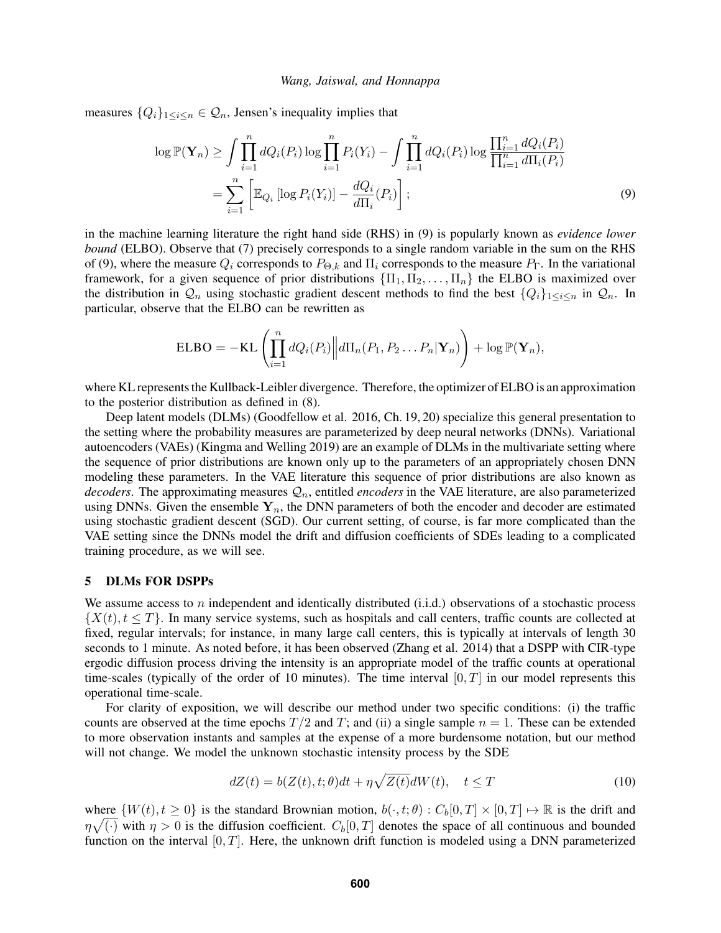measures  $\{Q_i\}_{1 \leq i \leq n} \in \mathcal{Q}_n$ , Jensen's inequality implies that

<span id="page-4-0"></span>
$$
\log \mathbb{P}(\mathbf{Y}_n) \ge \int \prod_{i=1}^n dQ_i(P_i) \log \prod_{i=1}^n P_i(Y_i) - \int \prod_{i=1}^n dQ_i(P_i) \log \frac{\prod_{i=1}^n dQ_i(P_i)}{\prod_{i=1}^n d\Pi_i(P_i)}
$$
  
= 
$$
\sum_{i=1}^n \left[ \mathbb{E}_{Q_i} \left[ \log P_i(Y_i) \right] - \frac{dQ_i}{d\Pi_i(P_i)} \right];
$$
 (9)

in the machine learning literature the right hand side (RHS) in [\(9\)](#page-4-0) is popularly known as *evidence lower bound* (ELBO). Observe that [\(7\)](#page-3-1) precisely corresponds to a single random variable in the sum on the RHS of [\(9\)](#page-4-0), where the measure  $Q_i$  corresponds to  $P_{\Theta,k}$  and  $\Pi_i$  corresponds to the measure  $P_{\Gamma}$ . In the variational framework, for a given sequence of prior distributions  $\{\Pi_1, \Pi_2, \dots, \Pi_n\}$  the ELBO is maximized over the distribution in  $Q_n$  using stochastic gradient descent methods to find the best  $\{Q_i\}_{1\leq i\leq n}$  in  $Q_n$ . In particular, observe that the ELBO can be rewritten as

$$
\text{ELBO} = -\text{KL}\left(\prod_{i=1}^n dQ_i(P_i) \middle\| d\Pi_n(P_1, P_2 \dots P_n | \mathbf{Y}_n)\right) + \log \mathbb{P}(\mathbf{Y}_n),
$$

where KL represents the Kullback-Leibler divergence. Therefore, the optimizer of ELBO is an approximation to the posterior distribution as defined in [\(8\)](#page-3-0).

Deep latent models (DLMs) [\(Goodfellow et al. 2016,](#page-11-9) Ch. 19, 20) specialize this general presentation to the setting where the probability measures are parameterized by deep neural networks (DNNs). Variational autoencoders (VAEs) [\(Kingma and Welling 2019\)](#page-11-14) are an example of DLMs in the multivariate setting where the sequence of prior distributions are known only up to the parameters of an appropriately chosen DNN modeling these parameters. In the VAE literature this sequence of prior distributions are also known as *decoders*. The approximating measures  $\mathcal{Q}_n$ , entitled *encoders* in the VAE literature, are also parameterized using DNNs. Given the ensemble  $Y_n$ , the DNN parameters of both the encoder and decoder are estimated using stochastic gradient descent (SGD). Our current setting, of course, is far more complicated than the VAE setting since the DNNs model the drift and diffusion coefficients of SDEs leading to a complicated training procedure, as we will see.

#### 5 DLMs FOR DSPPs

We assume access to n independent and identically distributed  $(i.i.d.)$  observations of a stochastic process  $\{X(t), t \leq T\}$ . In many service systems, such as hospitals and call centers, traffic counts are collected at fixed, regular intervals; for instance, in many large call centers, this is typically at intervals of length 30 seconds to 1 minute. As noted before, it has been observed [\(Zhang et al. 2014\)](#page-11-6) that a DSPP with CIR-type ergodic diffusion process driving the intensity is an appropriate model of the traffic counts at operational time-scales (typically of the order of 10 minutes). The time interval  $[0, T]$  in our model represents this operational time-scale.

For clarity of exposition, we will describe our method under two specific conditions: (i) the traffic counts are observed at the time epochs  $T/2$  and  $T$ ; and (ii) a single sample  $n = 1$ . These can be extended to more observation instants and samples at the expense of a more burdensome notation, but our method will not change. We model the unknown stochastic intensity process by the SDE

<span id="page-4-1"></span>
$$
dZ(t) = b(Z(t), t; \theta)dt + \eta \sqrt{Z(t)}dW(t), \quad t \le T
$$
\n(10)

where  $\{W(t), t \geq 0\}$  is the standard Brownian motion,  $b(\cdot, t; \theta) : C_b[0, T] \times [0, T] \rightarrow \mathbb{R}$  is the drift and  $\eta\sqrt{(\cdot)}$  with  $\eta > 0$  is the diffusion coefficient.  $C_b[0,T]$  denotes the space of all continuous and bounded function on the interval  $[0, T]$ . Here, the unknown drift function is modeled using a DNN parameterized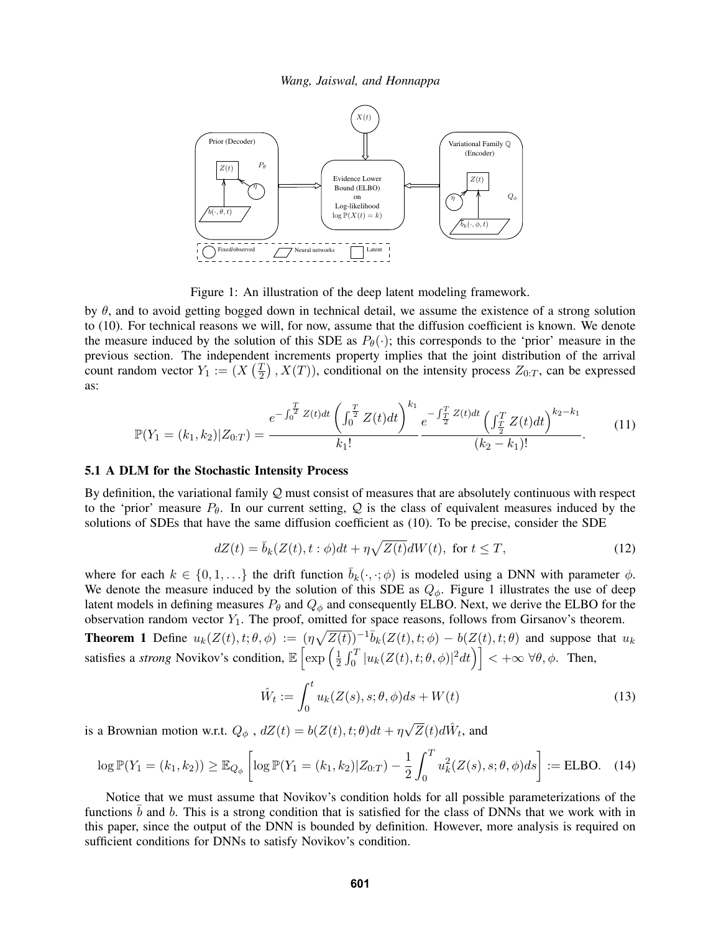<span id="page-5-0"></span>

Figure 1: An illustration of the deep latent modeling framework.

by  $\theta$ , and to avoid getting bogged down in technical detail, we assume the existence of a strong solution to [\(10\)](#page-4-1). For technical reasons we will, for now, assume that the diffusion coefficient is known. We denote the measure induced by the solution of this SDE as  $P_{\theta}(\cdot)$ ; this corresponds to the 'prior' measure in the previous section. The independent increments property implies that the joint distribution of the arrival count random vector  $Y_1 := (X \left( \frac{T_1}{2} \right)$  $(\frac{T}{2})$ ,  $X(T)$ ), conditional on the intensity process  $Z_{0:T}$ , can be expressed as:

$$
\mathbb{P}(Y_1 = (k_1, k_2) | Z_{0:T}) = \frac{e^{-\int_0^T Z(t)dt} \left(\int_0^T Z(t)dt\right)^{k_1}}{k_1!} e^{-\int_T^T Z(t)dt} \left(\int_T^T Z(t)dt\right)^{k_2 - k_1}}{(k_2 - k_1)!}.
$$
(11)

#### <span id="page-5-3"></span>5.1 A DLM for the Stochastic Intensity Process

By definition, the variational family  $Q$  must consist of measures that are absolutely continuous with respect to the 'prior' measure  $P_{\theta}$ . In our current setting, Q is the class of equivalent measures induced by the solutions of SDEs that have the same diffusion coefficient as [\(10\)](#page-4-1). To be precise, consider the SDE

$$
dZ(t) = \bar{b}_k(Z(t), t : \phi)dt + \eta \sqrt{Z(t)}dW(t), \text{ for } t \le T,
$$
\n(12)

where for each  $k \in \{0, 1, ...\}$  the drift function  $\overline{b}_k(\cdot, \cdot; \phi)$  is modeled using a DNN with parameter  $\phi$ . We denote the measure induced by the solution of this SDE as  $Q_{\phi}$ . Figure [1](#page-5-0) illustrates the use of deep latent models in defining measures  $P_\theta$  and  $Q_\phi$  and consequently ELBO. Next, we derive the ELBO for the observation random vector  $Y_1$ . The proof, omitted for space reasons, follows from Girsanov's theorem.

**Theorem 1** Define  $u_k(Z(t), t; \theta, \phi) := (\eta \sqrt{Z(t)})^{-1} \overline{b}_k(Z(t), t; \phi) - b(Z(t), t; \theta)$  and suppose that  $u_k$ satisfies a *strong* Novikov's condition,  $\mathbb{E}\left[\exp\left(\frac{1}{2}\right)\right]$  $\frac{1}{2} \int_0^T |u_k(Z(t),t;\theta,\phi)|^2 dt\Big) \Big] < +\infty \; \forall \theta,\phi. \ \ \text{Then,}$ 

<span id="page-5-2"></span><span id="page-5-1"></span>
$$
\hat{W}_t := \int_0^t u_k(Z(s), s; \theta, \phi) ds + W(t)
$$
\n(13)

is a Brownian motion w.r.t.  $Q_{\phi}$  ,  $dZ(t) = b(Z(t), t; \theta)dt + \eta$  $\sqrt{Z}(t) d\hat{W}_t$ , and

$$
\log \mathbb{P}(Y_1 = (k_1, k_2)) \ge \mathbb{E}_{Q_{\phi}} \left[ \log \mathbb{P}(Y_1 = (k_1, k_2) | Z_{0:T}) - \frac{1}{2} \int_0^T u_k^2(Z(s), s; \theta, \phi) ds \right] := \text{ELBO.} \quad (14)
$$

Notice that we must assume that Novikov's condition holds for all possible parameterizations of the functions  $b$  and  $b$ . This is a strong condition that is satisfied for the class of DNNs that we work with in this paper, since the output of the DNN is bounded by definition. However, more analysis is required on sufficient conditions for DNNs to satisfy Novikov's condition.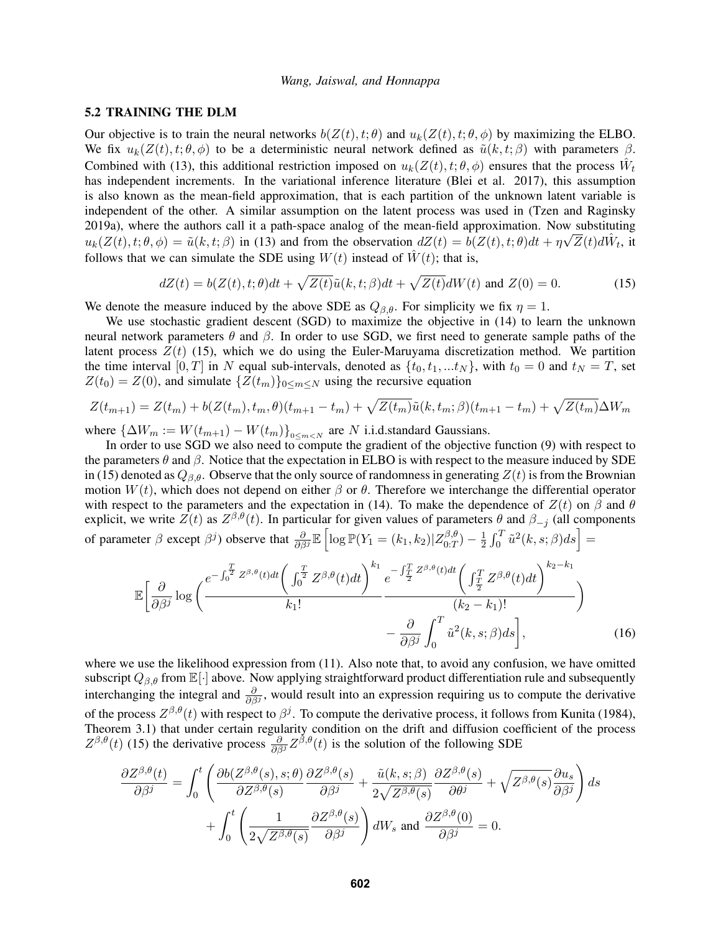### 5.2 TRAINING THE DLM

Our objective is to train the neural networks  $b(Z(t), t; \theta)$  and  $u_k(Z(t), t; \theta, \phi)$  by maximizing the ELBO. We fix  $u_k(Z(t), t; \theta, \phi)$  to be a deterministic neural network defined as  $\tilde{u}(k, t; \beta)$  with parameters  $\beta$ . Combined with [\(13\)](#page-5-1), this additional restriction imposed on  $u_k(Z(t), t; \theta, \phi)$  ensures that the process  $\hat{W}_t$ has independent increments. In the variational inference literature [\(Blei et al. 2017\)](#page-11-15), this assumption is also known as the mean-field approximation, that is each partition of the unknown latent variable is independent of the other. A similar assumption on the latent process was used in [\(Tzen and Raginsky](#page-11-10) [2019a\)](#page-11-10), where the authors call it a path-space analog of the mean-field approximation. Now substituting  $u_k(Z(t), t; \theta, \phi) = \tilde{u}(k, t; \beta)$  in [\(13\)](#page-5-1) and from the observation  $dZ(t) = b(Z(t), t; \theta)dt + \eta \sqrt{Z}(t)d\hat{W}_t$ , it follows that we can simulate the SDE using  $W(t)$  instead of  $\hat{W}(t)$ ; that is,

<span id="page-6-0"></span>
$$
dZ(t) = b(Z(t), t; \theta)dt + \sqrt{Z(t)}\tilde{u}(k, t; \beta)dt + \sqrt{Z(t)}dW(t) \text{ and } Z(0) = 0.
$$
 (15)

We denote the measure induced by the above SDE as  $Q_{\beta,\theta}$ . For simplicity we fix  $\eta = 1$ .

We use stochastic gradient descent (SGD) to maximize the objective in [\(14\)](#page-5-2) to learn the unknown neural network parameters  $θ$  and  $β$ . In order to use SGD, we first need to generate sample paths of the latent process  $Z(t)$  [\(15\)](#page-6-0), which we do using the Euler-Maruyama discretization method. We partition the time interval  $[0, T]$  in N equal sub-intervals, denoted as  $\{t_0, t_1, ... t_N\}$ , with  $t_0 = 0$  and  $t_N = T$ , set  $Z(t_0) = Z(0)$ , and simulate  $\{Z(t_m)\}_{0 \le m \le N}$  using the recursive equation

$$
Z(t_{m+1}) = Z(t_m) + b(Z(t_m), t_m, \theta)(t_{m+1} - t_m) + \sqrt{Z(t_m)}\tilde{u}(k, t_m; \beta)(t_{m+1} - t_m) + \sqrt{Z(t_m)}\Delta W_m
$$

where  ${\{\Delta}W_m := W(t_{m+1}) - W(t_m)\}_{0 \le m < N}$  are N i.i.d.standard Gaussians.

In order to use SGD we also need to compute the gradient of the objective function [\(9\)](#page-4-0) with respect to the parameters  $\theta$  and  $\beta$ . Notice that the expectation in ELBO is with respect to the measure induced by SDE in [\(15\)](#page-6-0) denoted as  $Q_{\beta,\theta}$ . Observe that the only source of randomness in generating  $Z(t)$  is from the Brownian motion  $W(t)$ , which does not depend on either  $\beta$  or  $\theta$ . Therefore we interchange the differential operator with respect to the parameters and the expectation in [\(14\)](#page-5-2). To make the dependence of  $Z(t)$  on  $\beta$  and  $\theta$ explicit, we write  $Z(t)$  as  $Z^{\beta,\theta}(t)$ . In particular for given values of parameters  $\theta$  and  $\beta_{-j}$  (all components of parameter  $\beta$  except  $\beta^j$ ) observe that  $\frac{\partial}{\partial \beta^j} \mathbb{E} \left[ \log \mathbb{P}(Y_1 = (k_1, k_2) | Z_{0:T}^{\beta, \theta} \right]$  $\binom{\beta,\theta}{0:T} - \frac{1}{2}$  $\frac{1}{2} \int_0^T \tilde{u}^2(k,s;\beta) ds \Big] =$ 

$$
\mathbb{E}\left[\frac{\partial}{\partial\beta^{j}}\log\left(\frac{e^{-\int_{0}^{T}Z^{\beta,\theta}(t)dt}\left(\int_{0}^{\frac{T}{2}}Z^{\beta,\theta}(t)dt\right)^{k_{1}}e^{-\int_{\frac{T}{2}}^{T}Z^{\beta,\theta}(t)dt}\left(\int_{\frac{T}{2}}^{T}Z^{\beta,\theta}(t)dt\right)^{k_{2}-k_{1}}}{k_{1}!}\right) - \frac{\partial}{\partial\beta^{j}}\int_{0}^{T}\tilde{u}^{2}(k,s;\beta)ds\right],
$$
\n(16)

where we use the likelihood expression from [\(11\)](#page-5-3). Also note that, to avoid any confusion, we have omitted subscript  $Q_{\beta,\theta}$  from  $\mathbb{E}[\cdot]$  above. Now applying straightforward product differentiation rule and subsequently interchanging the integral and  $\frac{\partial}{\partial \beta}$ , would result into an expression requiring us to compute the derivative of the process  $Z^{\beta,\theta}(t)$  with respect to  $\beta^j$ . To compute the derivative process, it follows from [Kunita \(1984\),](#page-11-12) Theorem 3.1) that under certain regularity condition on the drift and diffusion coefficient of the process  $Z^{\beta,\theta}(t)$  [\(15\)](#page-6-0) the derivative process  $\frac{\partial}{\partial \beta^j} Z^{\beta,\theta}(t)$  is the solution of the following SDE

$$
\frac{\partial Z^{\beta,\theta}(t)}{\partial \beta^{j}} = \int_{0}^{t} \left( \frac{\partial b(Z^{\beta,\theta}(s), s; \theta)}{\partial Z^{\beta,\theta}(s)} \frac{\partial Z^{\beta,\theta}(s)}{\partial \beta^{j}} + \frac{\tilde{u}(k, s; \beta)}{2\sqrt{Z^{\beta,\theta}(s)}} \frac{\partial Z^{\beta,\theta}(s)}{\partial \theta^{j}} + \sqrt{Z^{\beta,\theta}(s)} \frac{\partial u_{s}}{\partial \beta^{j}} \right) ds + \int_{0}^{t} \left( \frac{1}{2\sqrt{Z^{\beta,\theta}(s)}} \frac{\partial Z^{\beta,\theta}(s)}{\partial \beta^{j}} \right) dW_{s} \text{ and } \frac{\partial Z^{\beta,\theta}(0)}{\partial \beta^{j}} = 0.
$$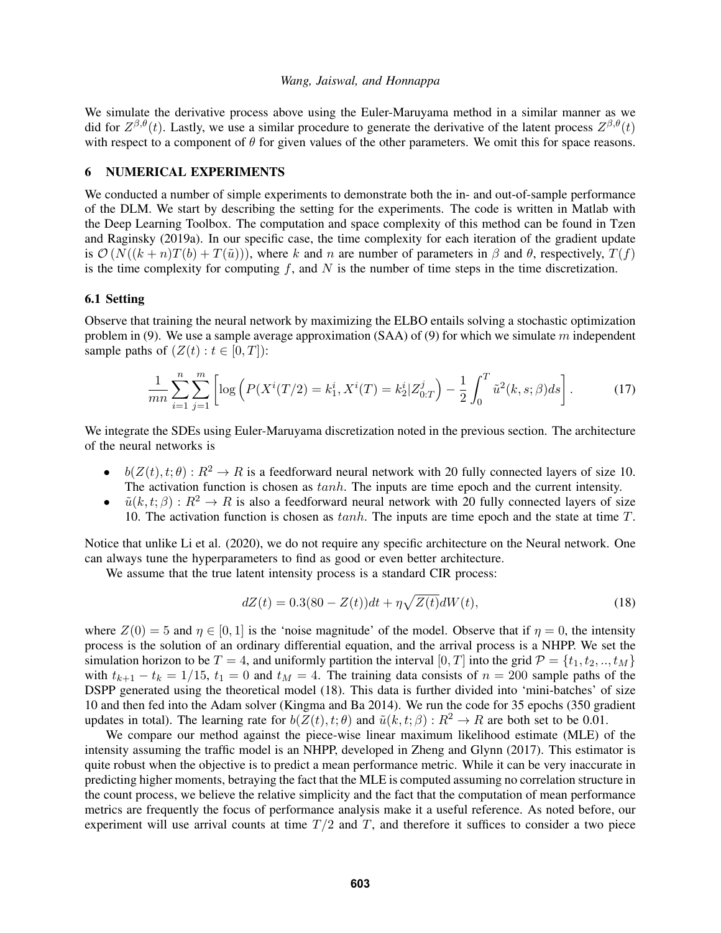We simulate the derivative process above using the Euler-Maruyama method in a similar manner as we did for  $Z^{\beta,\theta}(t)$ . Lastly, we use a similar procedure to generate the derivative of the latent process  $Z^{\beta,\theta}(t)$ with respect to a component of  $\theta$  for given values of the other parameters. We omit this for space reasons.

## 6 NUMERICAL EXPERIMENTS

We conducted a number of simple experiments to demonstrate both the in- and out-of-sample performance of the DLM. We start by describing the setting for the experiments. The code is written in Matlab with the Deep Learning Toolbox. The computation and space complexity of this method can be found in [Tzen](#page-11-10) [and Raginsky \(2019a\).](#page-11-10) In our specific case, the time complexity for each iteration of the gradient update is  $\mathcal{O}(N((k+n)T(b) + T(\tilde{u})))$ , where k and n are number of parameters in  $\beta$  and  $\theta$ , respectively,  $T(f)$ is the time complexity for computing  $f$ , and  $N$  is the number of time steps in the time discretization.

### 6.1 Setting

Observe that training the neural network by maximizing the ELBO entails solving a stochastic optimization problem in [\(9\)](#page-4-0). We use a sample average approximation  $(SAA)$  of (9) for which we simulate m independent sample paths of  $(Z(t): t \in [0, T])$ :

$$
\frac{1}{mn} \sum_{i=1}^{n} \sum_{j=1}^{m} \left[ \log \left( P(X^i(T/2) = k_1^i, X^i(T) = k_2^i | Z_{0:T}^j) - \frac{1}{2} \int_0^T \tilde{u}^2(k, s; \beta) ds \right]. \tag{17}
$$

We integrate the SDEs using Euler-Maruyama discretization noted in the previous section. The architecture of the neural networks is

- $b(Z(t), t; \theta) : R^2 \to R$  is a feedforward neural network with 20 fully connected layers of size 10. The activation function is chosen as  $tanh$ . The inputs are time epoch and the current intensity.
- $\tilde{u}(k, t; \beta) : R^2 \to R$  is also a feedforward neural network with 20 fully connected layers of size 10. The activation function is chosen as  $tanh$ . The inputs are time epoch and the state at time  $T$ .

Notice that unlike [Li et al. \(2020\),](#page-11-16) we do not require any specific architecture on the Neural network. One can always tune the hyperparameters to find as good or even better architecture.

We assume that the true latent intensity process is a standard CIR process:

<span id="page-7-0"></span>
$$
dZ(t) = 0.3(80 - Z(t))dt + \eta \sqrt{Z(t)}dW(t),
$$
\n(18)

where  $Z(0) = 5$  and  $\eta \in [0, 1]$  is the 'noise magnitude' of the model. Observe that if  $\eta = 0$ , the intensity process is the solution of an ordinary differential equation, and the arrival process is a NHPP. We set the simulation horizon to be  $T = 4$ , and uniformly partition the interval [0, T] into the grid  $\mathcal{P} = \{t_1, t_2, ..., t_M\}$ with  $t_{k+1} - t_k = 1/15$ ,  $t_1 = 0$  and  $t_M = 4$ . The training data consists of  $n = 200$  sample paths of the DSPP generated using the theoretical model [\(18\)](#page-7-0). This data is further divided into 'mini-batches' of size 10 and then fed into the Adam solver [\(Kingma and Ba 2014\)](#page-11-17). We run the code for 35 epochs (350 gradient updates in total). The learning rate for  $b(Z(t), t; \theta)$  and  $\tilde{u}(k, t; \beta) : R^2 \to R$  are both set to be 0.01.

We compare our method against the piece-wise linear maximum likelihood estimate (MLE) of the intensity assuming the traffic model is an NHPP, developed in [Zheng and Glynn \(2017\).](#page-11-18) This estimator is quite robust when the objective is to predict a mean performance metric. While it can be very inaccurate in predicting higher moments, betraying the fact that the MLE is computed assuming no correlation structure in the count process, we believe the relative simplicity and the fact that the computation of mean performance metrics are frequently the focus of performance analysis make it a useful reference. As noted before, our experiment will use arrival counts at time  $T/2$  and T, and therefore it suffices to consider a two piece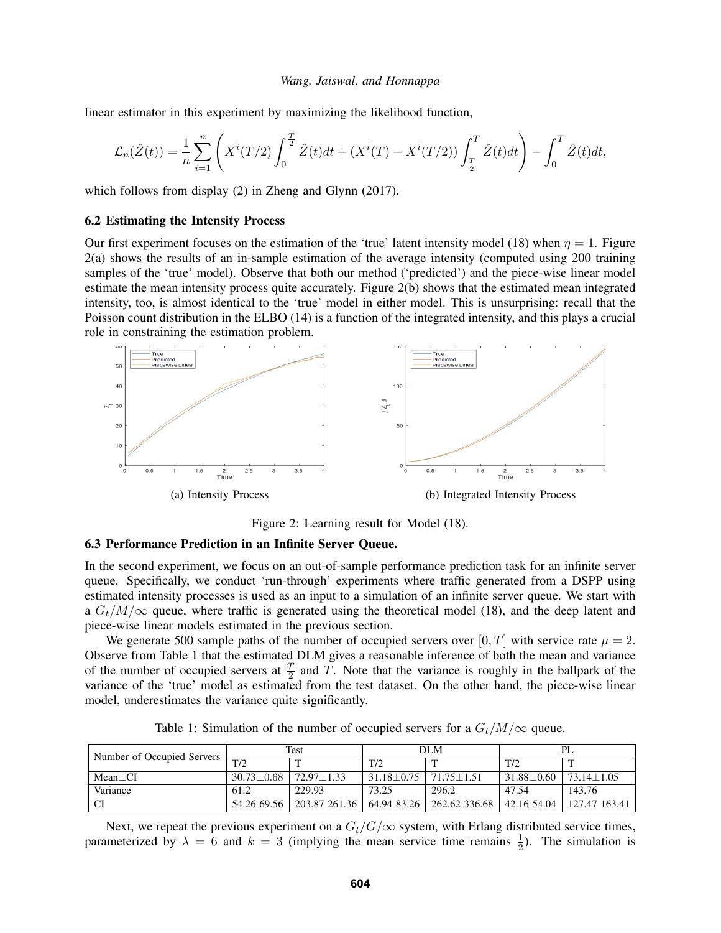linear estimator in this experiment by maximizing the likelihood function,

$$
\mathcal{L}_n(\hat{Z}(t)) = \frac{1}{n} \sum_{i=1}^n \left( X^i(T/2) \int_0^{\frac{T}{2}} \hat{Z}(t)dt + (X^i(T) - X^i(T/2)) \int_{\frac{T}{2}}^T \hat{Z}(t)dt \right) - \int_0^T \hat{Z}(t)dt,
$$

which follows from display (2) in [Zheng and Glynn \(2017\).](#page-11-18)

### 6.2 Estimating the Intensity Process

Our first experiment focuses on the estimation of the 'true' latent intensity model [\(18\)](#page-7-0) when  $\eta = 1$ . Figure [2\(](#page-8-0)a) shows the results of an in-sample estimation of the average intensity (computed using 200 training samples of the 'true' model). Observe that both our method ('predicted') and the piece-wise linear model estimate the mean intensity process quite accurately. Figure [2\(](#page-8-0)b) shows that the estimated mean integrated intensity, too, is almost identical to the 'true' model in either model. This is unsurprising: recall that the Poisson count distribution in the ELBO [\(14\)](#page-5-2) is a function of the integrated intensity, and this plays a crucial role in constraining the estimation problem.

<span id="page-8-0"></span>

Figure 2: Learning result for Model [\(18\)](#page-7-0).

### 6.3 Performance Prediction in an Infinite Server Queue.

In the second experiment, we focus on an out-of-sample performance prediction task for an infinite server queue. Specifically, we conduct 'run-through' experiments where traffic generated from a DSPP using estimated intensity processes is used as an input to a simulation of an infinite server queue. We start with a  $G_t/M/\infty$  queue, where traffic is generated using the theoretical model [\(18\)](#page-7-0), and the deep latent and piece-wise linear models estimated in the previous section.

We generate 500 sample paths of the number of occupied servers over [0, T] with service rate  $\mu = 2$ . Observe from Table [1](#page-8-1) that the estimated DLM gives a reasonable inference of both the mean and variance of the number of occupied servers at  $\frac{T}{2}$  and T. Note that the variance is roughly in the ballpark of the variance of the 'true' model as estimated from the test dataset. On the other hand, the piece-wise linear model, underestimates the variance quite significantly.

<span id="page-8-1"></span>

| Number of Occupied Servers | Test             |                             | DLM            |                |                |                |
|----------------------------|------------------|-----------------------------|----------------|----------------|----------------|----------------|
|                            | T/2              | m                           | T/2            |                | T/2            |                |
| $Mean+CI$                  | $30.73 \pm 0.68$ | 72.97+1.33                  | $31.18 + 0.75$ | $71.75 + 1.51$ | $31.88 + 0.60$ | $73.14 + 1.05$ |
| Variance                   | 61.2             | 229.93                      | 73.25          | 296.2          | 47.54          | 143.76         |
|                            | 54.26 69.56      | 203.87 261.36   64.94 83.26 |                | 262.62 336.68  | 42.16 54.04    | 127.47 163.41  |

Table 1: Simulation of the number of occupied servers for a  $G_t/M/\infty$  queue.

Next, we repeat the previous experiment on a  $G_t/G/\infty$  system, with Erlang distributed service times, parameterized by  $\lambda = 6$  and  $k = 3$  (implying the mean service time remains  $\frac{1}{2}$ ). The simulation is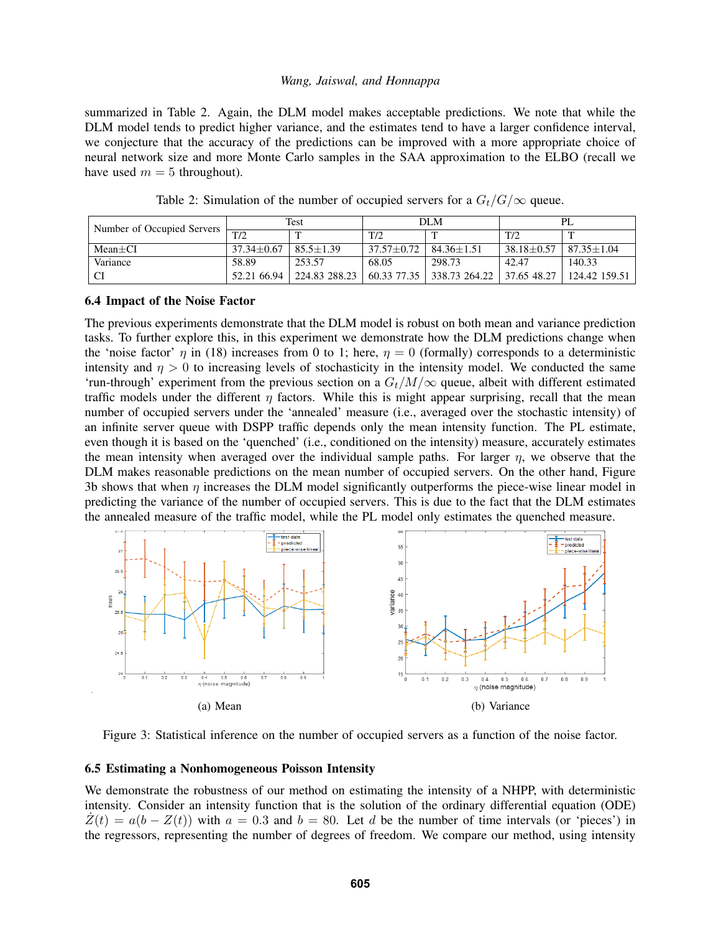summarized in Table [2.](#page-9-0) Again, the DLM model makes acceptable predictions. We note that while the DLM model tends to predict higher variance, and the estimates tend to have a larger confidence interval, we conjecture that the accuracy of the predictions can be improved with a more appropriate choice of neural network size and more Monte Carlo samples in the SAA approximation to the ELBO (recall we have used  $m = 5$  throughout).

<span id="page-9-0"></span>

| Number of Occupied Servers | Test             |               | DLM            |                | PL             |                  |
|----------------------------|------------------|---------------|----------------|----------------|----------------|------------------|
|                            | T/2              | m             | T/2            |                | T/2            |                  |
| $Mean+CI$                  | $37.34 \pm 0.67$ | $85.5 + 1.39$ | $37.57 + 0.72$ | $84.36 + 1.51$ | $38.18 + 0.57$ | $87.35 \pm 1.04$ |
| Variance                   | 58.89            | 253.57        | 68.05          | 298.73         | 42.47          | 140.33           |
| CI                         | 52.21 66.94      | 224.83 288.23 | 60.33 77.35    | 338.73 264.22  | 37.65 48.27    | 124.42 159.51    |

Table 2: Simulation of the number of occupied servers for a  $G_t/G/\infty$  queue.

### 6.4 Impact of the Noise Factor

The previous experiments demonstrate that the DLM model is robust on both mean and variance prediction tasks. To further explore this, in this experiment we demonstrate how the DLM predictions change when the 'noise factor'  $\eta$  in [\(18\)](#page-7-0) increases from 0 to 1; here,  $\eta = 0$  (formally) corresponds to a deterministic intensity and  $\eta > 0$  to increasing levels of stochasticity in the intensity model. We conducted the same 'run-through' experiment from the previous section on a  $G_t/M/\infty$  queue, albeit with different estimated traffic models under the different  $\eta$  factors. While this is might appear surprising, recall that the mean number of occupied servers under the 'annealed' measure (i.e., averaged over the stochastic intensity) of an infinite server queue with DSPP traffic depends only the mean intensity function. The PL estimate, even though it is based on the 'quenched' (i.e., conditioned on the intensity) measure, accurately estimates the mean intensity when averaged over the individual sample paths. For larger  $\eta$ , we observe that the DLM makes reasonable predictions on the mean number of occupied servers. On the other hand, Figure [3b](#page-9-1) shows that when  $\eta$  increases the DLM model significantly outperforms the piece-wise linear model in predicting the variance of the number of occupied servers. This is due to the fact that the DLM estimates the annealed measure of the traffic model, while the PL model only estimates the quenched measure.

<span id="page-9-1"></span>

Figure 3: Statistical inference on the number of occupied servers as a function of the noise factor.

#### 6.5 Estimating a Nonhomogeneous Poisson Intensity

We demonstrate the robustness of our method on estimating the intensity of a NHPP, with deterministic intensity. Consider an intensity function that is the solution of the ordinary differential equation (ODE)  $Z(t) = a(b - Z(t))$  with  $a = 0.3$  and  $b = 80$ . Let d be the number of time intervals (or 'pieces') in the regressors, representing the number of degrees of freedom. We compare our method, using intensity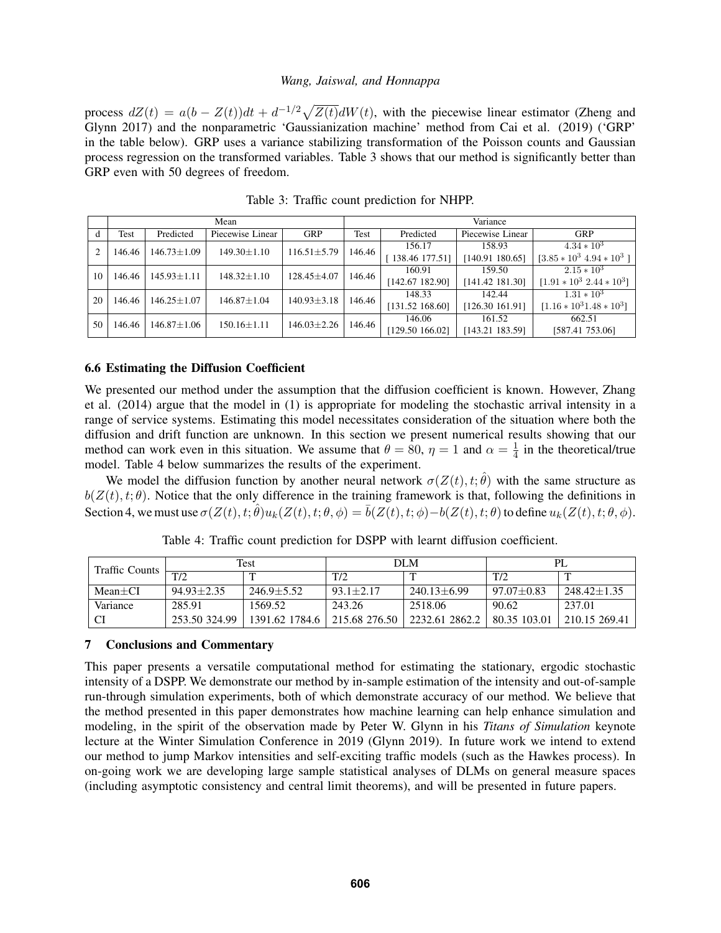process  $dZ(t) = a(b - Z(t))dt + d^{-1/2}\sqrt{Z(t)}dW(t)$ , with the piecewise linear estimator [\(Zheng and](#page-11-18) [Glynn 2017\)](#page-11-18) and the nonparametric 'Gaussianization machine' method from [Cai et al. \(2019\)](#page-11-19) ('GRP' in the table below). GRP uses a variance stabilizing transformation of the Poisson counts and Gaussian process regression on the transformed variables. Table [3](#page-10-0) shows that our method is significantly better than GRP even with 50 degrees of freedom.

<span id="page-10-0"></span>

|        | Mean              |                   |                   |                   | Variance        |                   |                             |                             |        |               |
|--------|-------------------|-------------------|-------------------|-------------------|-----------------|-------------------|-----------------------------|-----------------------------|--------|---------------|
| đ      | Test              | Predicted         | Piecewise Linear  | <b>GRP</b>        | Test            | Predicted         | Piecewise Linear            | <b>GRP</b>                  |        |               |
| 146.46 | $146.73 \pm 1.09$ | $149.30 \pm 1.10$ | $116.51 \pm 5.79$ | 146.46            | 156.17          | 158.93            | $4.34 * 10^3$               |                             |        |               |
|        |                   |                   |                   |                   |                 | [138.46177.51]    | [140.91 180.65]             | $[3.85 * 10^3 4.94 * 10^3]$ |        |               |
| 10     | 146.46            | $145.93 \pm 1.11$ | $148.32 \pm 1.10$ |                   |                 | $128.45 \pm 4.07$ | 146.46                      | 160.91                      | 159.50 | $2.15 * 10^3$ |
|        |                   |                   |                   |                   |                 | [142.67 182.90]   | [141.42 181.30]             | $[1.91 * 10^3 2.44 * 10^3]$ |        |               |
| 20     | 146.46            | $146.25 \pm 1.07$ | $146.87 \pm 1.04$ | $140.93 \pm 3.18$ | 146.46          | 148.33            | 142.44                      | $1.31 * 10^3$               |        |               |
|        |                   |                   |                   |                   | [131.52 168.60] | [126.30 161.91]   | $[1.16 * 10^3 1.48 * 10^3]$ |                             |        |               |
| 50     | 146.46            | $146.87 \pm 1.06$ | $150.16 \pm 1.11$ | $146.03 \pm 2.26$ | 146.46          | 146.06            | 161.52                      | 662.51                      |        |               |
|        |                   |                   |                   |                   | [129.50 166.02] | [143.21 183.59]   | [587.41 753.06]             |                             |        |               |

Table 3: Traffic count prediction for NHPP.

### 6.6 Estimating the Diffusion Coefficient

We presented our method under the assumption that the diffusion coefficient is known. However, [Zhang](#page-11-6) [et al. \(2014\)](#page-11-6) argue that the model in [\(1\)](#page-1-0) is appropriate for modeling the stochastic arrival intensity in a range of service systems. Estimating this model necessitates consideration of the situation where both the diffusion and drift function are unknown. In this section we present numerical results showing that our method can work even in this situation. We assume that  $\theta = 80$ ,  $\eta = 1$  and  $\alpha = \frac{1}{4}$  $\frac{1}{4}$  in the theoretical/true model. Table [4](#page-10-1) below summarizes the results of the experiment.

We model the diffusion function by another neural network  $\sigma(Z(t), t; \hat{\theta})$  with the same structure as  $b(Z(t), t; \theta)$ . Notice that the only difference in the training framework is that, following the definitions in Section [4,](#page-3-2) we must use  $\sigma(Z(t), t; \hat{\theta})u_k(Z(t), t; \theta, \phi) = \bar{b}(Z(t), t; \phi) - b(Z(t), t; \theta)$  to define  $u_k(Z(t), t; \theta, \phi)$ .

<span id="page-10-1"></span>

| <b>Traffic Counts</b> | Test           |                |               | DLM             | PI.            |                 |
|-----------------------|----------------|----------------|---------------|-----------------|----------------|-----------------|
|                       | T/2            | m              | T/2           | $\mathbf{r}$    | T/2            |                 |
| $Mean+CI$             | $94.93 + 2.35$ | $246.9 + 5.52$ | $93.1 + 2.17$ | $240.13 + 6.99$ | $97.07 + 0.83$ | $248.42 + 1.35$ |
| Variance              | 285.91         | 1569.52        | 243.26        | 2518.06         | 90.62          | 237.01          |
|                       | 253.50 324.99  | 1391.62 1784.6 | 215.68276.50  | 12232.612862.2  | 80.35 103.01   | 210.15 269.41   |

Table 4: Traffic count prediction for DSPP with learnt diffusion coefficient.

### 7 Conclusions and Commentary

This paper presents a versatile computational method for estimating the stationary, ergodic stochastic intensity of a DSPP. We demonstrate our method by in-sample estimation of the intensity and out-of-sample run-through simulation experiments, both of which demonstrate accuracy of our method. We believe that the method presented in this paper demonstrates how machine learning can help enhance simulation and modeling, in the spirit of the observation made by Peter W. Glynn in his *Titans of Simulation* keynote lecture at the Winter Simulation Conference in 2019 [\(Glynn 2019\)](#page-11-20). In future work we intend to extend our method to jump Markov intensities and self-exciting traffic models (such as the Hawkes process). In on-going work we are developing large sample statistical analyses of DLMs on general measure spaces (including asymptotic consistency and central limit theorems), and will be presented in future papers.